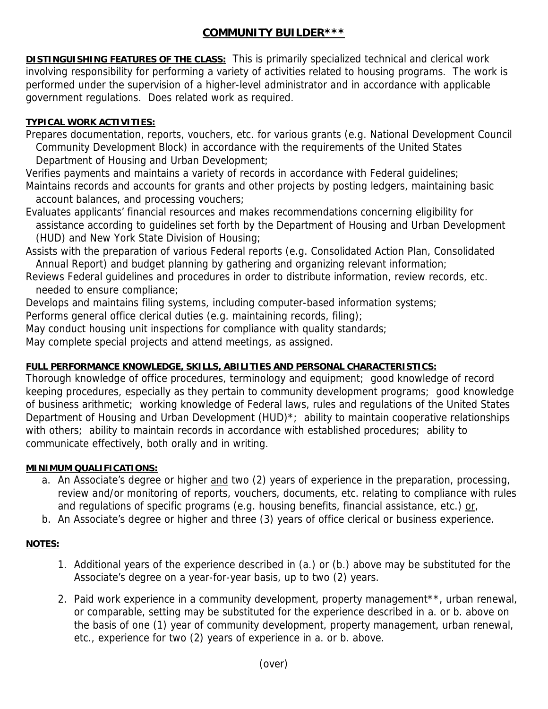# **COMMUNITY BUILDER\*\*\***

**DISTINGUISHING FEATURES OF THE CLASS:** This is primarily specialized technical and clerical work involving responsibility for performing a variety of activities related to housing programs. The work is performed under the supervision of a higher-level administrator and in accordance with applicable government regulations. Does related work as required.

## **TYPICAL WORK ACTIVITIES:**

Prepares documentation, reports, vouchers, etc. for various grants (e.g. National Development Council Community Development Block) in accordance with the requirements of the United States Department of Housing and Urban Development;

Verifies payments and maintains a variety of records in accordance with Federal guidelines; Maintains records and accounts for grants and other projects by posting ledgers, maintaining basic account balances, and processing vouchers;

Evaluates applicants' financial resources and makes recommendations concerning eligibility for assistance according to guidelines set forth by the Department of Housing and Urban Development (HUD) and New York State Division of Housing;

Assists with the preparation of various Federal reports (e.g. Consolidated Action Plan, Consolidated Annual Report) and budget planning by gathering and organizing relevant information;

Reviews Federal guidelines and procedures in order to distribute information, review records, etc. needed to ensure compliance;

Develops and maintains filing systems, including computer-based information systems;

Performs general office clerical duties (e.g. maintaining records, filing);

May conduct housing unit inspections for compliance with quality standards;

May complete special projects and attend meetings, as assigned.

### **FULL PERFORMANCE KNOWLEDGE, SKILLS, ABILITIES AND PERSONAL CHARACTERISTICS:**

Thorough knowledge of office procedures, terminology and equipment; good knowledge of record keeping procedures, especially as they pertain to community development programs; good knowledge of business arithmetic; working knowledge of Federal laws, rules and regulations of the United States Department of Housing and Urban Development (HUD)<sup>\*</sup>; ability to maintain cooperative relationships with others; ability to maintain records in accordance with established procedures; ability to communicate effectively, both orally and in writing.

### **MINIMUM QUALIFICATIONS:**

- a. An Associate's degree or higher and two (2) years of experience in the preparation, processing, review and/or monitoring of reports, vouchers, documents, etc. relating to compliance with rules and regulations of specific programs (e.g. housing benefits, financial assistance, etc.) or,
- b. An Associate's degree or higher and three (3) years of office clerical or business experience.

### **NOTES:**

- 1. Additional years of the experience described in (a.) or (b.) above may be substituted for the Associate's degree on a year-for-year basis, up to two (2) years.
- 2. Paid work experience in a community development, property management\*\*, urban renewal, or comparable, setting may be substituted for the experience described in a. or b. above on the basis of one (1) year of community development, property management, urban renewal, etc., experience for two (2) years of experience in a. or b. above.